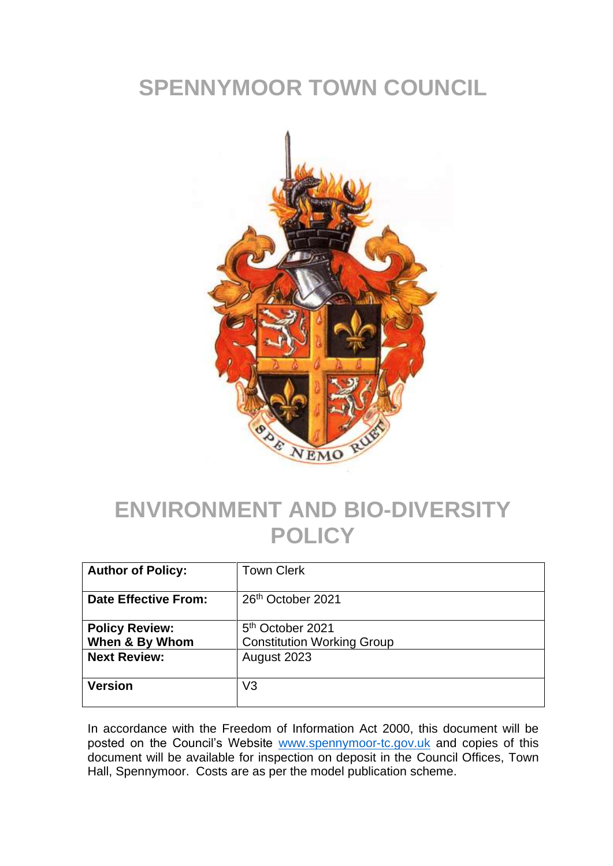## **SPENNYMOOR TOWN COUNCIL**



## **ENVIRONMENT AND BIO-DIVERSITY POLICY**

| <b>Author of Policy:</b>                | <b>Town Clerk</b>                                                 |
|-----------------------------------------|-------------------------------------------------------------------|
| <b>Date Effective From:</b>             | 26 <sup>th</sup> October 2021                                     |
| <b>Policy Review:</b><br>When & By Whom | 5 <sup>th</sup> October 2021<br><b>Constitution Working Group</b> |
| <b>Next Review:</b>                     | August 2023                                                       |
| <b>Version</b>                          | V3                                                                |

In accordance with the Freedom of Information Act 2000, this document will be posted on the Council's Website [www.spennymoor-tc.gov.uk](http://www.spennymoor-tc.gov.uk/) and copies of this document will be available for inspection on deposit in the Council Offices, Town Hall, Spennymoor. Costs are as per the model publication scheme.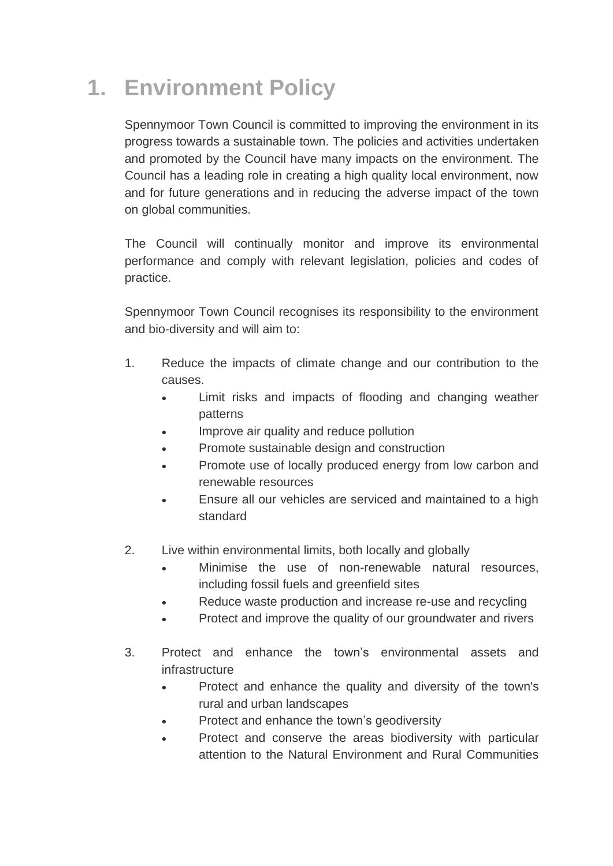## **1. Environment Policy**

Spennymoor Town Council is committed to improving the environment in its progress towards a sustainable town. The policies and activities undertaken and promoted by the Council have many impacts on the environment. The Council has a leading role in creating a high quality local environment, now and for future generations and in reducing the adverse impact of the town on global communities.

The Council will continually monitor and improve its environmental performance and comply with relevant legislation, policies and codes of practice.

Spennymoor Town Council recognises its responsibility to the environment and bio-diversity and will aim to:

- 1. Reduce the impacts of climate change and our contribution to the causes.
	- Limit risks and impacts of flooding and changing weather patterns
	- Improve air quality and reduce pollution
	- Promote sustainable design and construction
	- Promote use of locally produced energy from low carbon and renewable resources
	- Ensure all our vehicles are serviced and maintained to a high standard
- 2. Live within environmental limits, both locally and globally
	- Minimise the use of non-renewable natural resources, including fossil fuels and greenfield sites
	- Reduce waste production and increase re-use and recycling
	- Protect and improve the quality of our groundwater and rivers
- 3. Protect and enhance the town's environmental assets and infrastructure
	- Protect and enhance the quality and diversity of the town's rural and urban landscapes
	- Protect and enhance the town's geodiversity
	- Protect and conserve the areas biodiversity with particular attention to the Natural Environment and Rural Communities